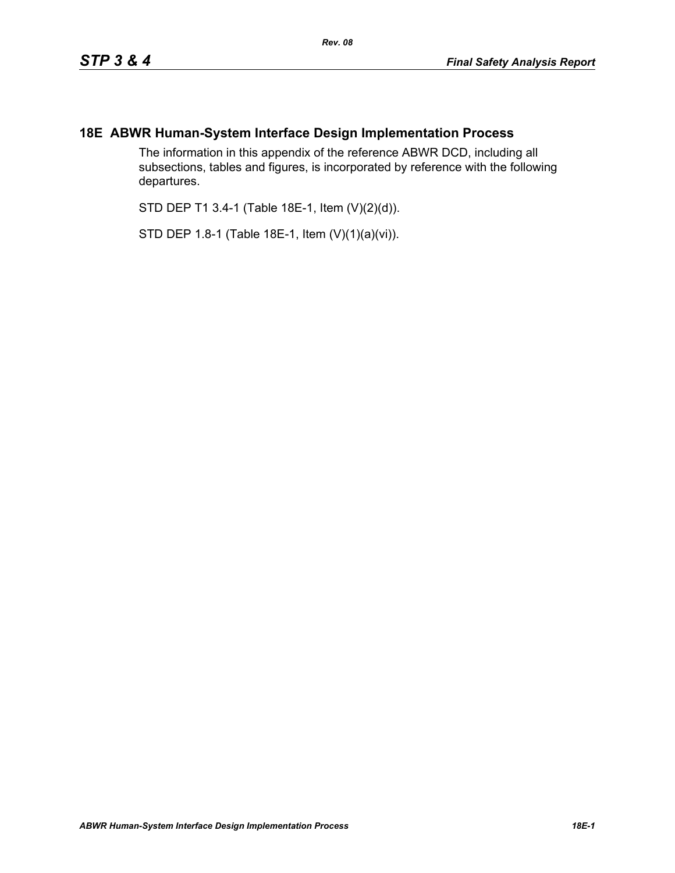## **18E ABWR Human-System Interface Design Implementation Process**

The information in this appendix of the reference ABWR DCD, including all subsections, tables and figures, is incorporated by reference with the following departures.

STD DEP T1 3.4-1 (Table 18E-1, Item (V)(2)(d)).

STD DEP 1.8-1 (Table 18E-1, Item (V)(1)(a)(vi)).